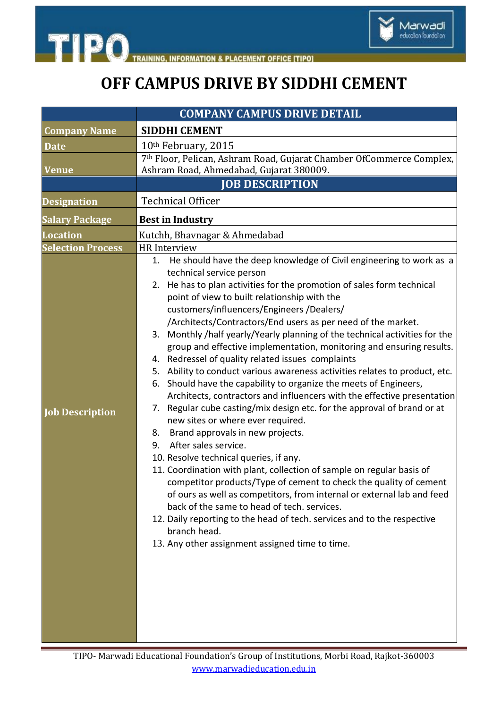

**TIPO INFORMATION & PLACEMENT OFFICE [TIPO]** 

## **OFF CAMPUS DRIVE BY SIDDHI CEMENT**

|                          | <b>COMPANY CAMPUS DRIVE DETAIL</b>                                                                                                                                                                                                                                                                                                                                                                                                                                                                                                                                                                                                                                                                                                                                                                                                                                                                                                                                                                                                                                                                                                                                                                                                                                                                                                                                                                                                                           |
|--------------------------|--------------------------------------------------------------------------------------------------------------------------------------------------------------------------------------------------------------------------------------------------------------------------------------------------------------------------------------------------------------------------------------------------------------------------------------------------------------------------------------------------------------------------------------------------------------------------------------------------------------------------------------------------------------------------------------------------------------------------------------------------------------------------------------------------------------------------------------------------------------------------------------------------------------------------------------------------------------------------------------------------------------------------------------------------------------------------------------------------------------------------------------------------------------------------------------------------------------------------------------------------------------------------------------------------------------------------------------------------------------------------------------------------------------------------------------------------------------|
| <b>Company Name</b>      | <b>SIDDHI CEMENT</b>                                                                                                                                                                                                                                                                                                                                                                                                                                                                                                                                                                                                                                                                                                                                                                                                                                                                                                                                                                                                                                                                                                                                                                                                                                                                                                                                                                                                                                         |
| <b>Date</b>              | 10 <sup>th</sup> February, 2015                                                                                                                                                                                                                                                                                                                                                                                                                                                                                                                                                                                                                                                                                                                                                                                                                                                                                                                                                                                                                                                                                                                                                                                                                                                                                                                                                                                                                              |
| <b>Venue</b>             | 7th Floor, Pelican, Ashram Road, Gujarat Chamber OfCommerce Complex,<br>Ashram Road, Ahmedabad, Gujarat 380009.                                                                                                                                                                                                                                                                                                                                                                                                                                                                                                                                                                                                                                                                                                                                                                                                                                                                                                                                                                                                                                                                                                                                                                                                                                                                                                                                              |
|                          | <b>JOB DESCRIPTION</b>                                                                                                                                                                                                                                                                                                                                                                                                                                                                                                                                                                                                                                                                                                                                                                                                                                                                                                                                                                                                                                                                                                                                                                                                                                                                                                                                                                                                                                       |
| <b>Designation</b>       | <b>Technical Officer</b>                                                                                                                                                                                                                                                                                                                                                                                                                                                                                                                                                                                                                                                                                                                                                                                                                                                                                                                                                                                                                                                                                                                                                                                                                                                                                                                                                                                                                                     |
| <b>Salary Package</b>    | <b>Best in Industry</b>                                                                                                                                                                                                                                                                                                                                                                                                                                                                                                                                                                                                                                                                                                                                                                                                                                                                                                                                                                                                                                                                                                                                                                                                                                                                                                                                                                                                                                      |
| <b>Location</b>          | Kutchh, Bhavnagar & Ahmedabad                                                                                                                                                                                                                                                                                                                                                                                                                                                                                                                                                                                                                                                                                                                                                                                                                                                                                                                                                                                                                                                                                                                                                                                                                                                                                                                                                                                                                                |
| <b>Selection Process</b> | HR Interview                                                                                                                                                                                                                                                                                                                                                                                                                                                                                                                                                                                                                                                                                                                                                                                                                                                                                                                                                                                                                                                                                                                                                                                                                                                                                                                                                                                                                                                 |
| <b>Job Description</b>   | He should have the deep knowledge of Civil engineering to work as a<br>1.<br>technical service person<br>2. He has to plan activities for the promotion of sales form technical<br>point of view to built relationship with the<br>customers/influencers/Engineers/Dealers/<br>/Architects/Contractors/End users as per need of the market.<br>Monthly /half yearly/Yearly planning of the technical activities for the<br>3.<br>group and effective implementation, monitoring and ensuring results.<br>Redressel of quality related issues complaints<br>4.<br>Ability to conduct various awareness activities relates to product, etc.<br>5.<br>Should have the capability to organize the meets of Engineers,<br>6.<br>Architects, contractors and influencers with the effective presentation<br>Regular cube casting/mix design etc. for the approval of brand or at<br>7.<br>new sites or where ever required.<br>Brand approvals in new projects.<br>8.<br>After sales service.<br>9.<br>10. Resolve technical queries, if any.<br>11. Coordination with plant, collection of sample on regular basis of<br>competitor products/Type of cement to check the quality of cement<br>of ours as well as competitors, from internal or external lab and feed<br>back of the same to head of tech. services.<br>12. Daily reporting to the head of tech. services and to the respective<br>branch head.<br>13. Any other assignment assigned time to time. |